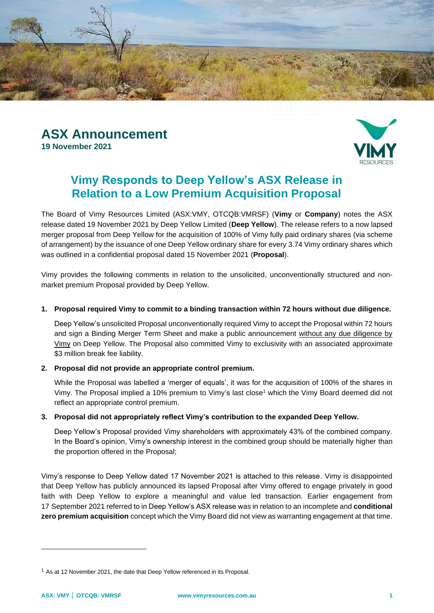



# **Vimy Responds to Deep Yellow's ASX Release in Relation to a Low Premium Acquisition Proposal**

The Board of Vimy Resources Limited (ASX:VMY, OTCQB:VMRSF) (**Vimy** or **Company**) notes the ASX release dated 19 November 2021 by Deep Yellow Limited (**Deep Yellow**). The release refers to a now lapsed merger proposal from Deep Yellow for the acquisition of 100% of Vimy fully paid ordinary shares (via scheme of arrangement) by the issuance of one Deep Yellow ordinary share for every 3.74 Vimy ordinary shares which was outlined in a confidential proposal dated 15 November 2021 (**Proposal**).

Vimy provides the following comments in relation to the unsolicited, unconventionally structured and nonmarket premium Proposal provided by Deep Yellow.

## **1. Proposal required Vimy to commit to a binding transaction within 72 hours without due diligence.**

Deep Yellow's unsolicited Proposal unconventionally required Vimy to accept the Proposal within 72 hours and sign a Binding Merger Term Sheet and make a public announcement without any due diligence by Vimy on Deep Yellow. The Proposal also committed Vimy to exclusivity with an associated approximate \$3 million break fee liability.

## **2. Proposal did not provide an appropriate control premium.**

While the Proposal was labelled a 'merger of equals', it was for the acquisition of 100% of the shares in Vimy. The Proposal implied a 10% premium to Vimy's last close<sup>1</sup> which the Vimy Board deemed did not reflect an appropriate control premium.

## **3. Proposal did not appropriately reflect Vimy's contribution to the expanded Deep Yellow.**

Deep Yellow's Proposal provided Vimy shareholders with approximately 43% of the combined company. In the Board's opinion, Vimy's ownership interest in the combined group should be materially higher than the proportion offered in the Proposal;

Vimy's response to Deep Yellow dated 17 November 2021 is attached to this release. Vimy is disappointed that Deep Yellow has publicly announced its lapsed Proposal after Vimy offered to engage privately in good faith with Deep Yellow to explore a meaningful and value led transaction. Earlier engagement from 17 September 2021 referred to in Deep Yellow's ASX release was in relation to an incomplete and **conditional zero premium acquisition** concept which the Vimy Board did not view as warranting engagement at that time.

 $1$  As at 12 November 2021, the date that Deep Yellow referenced in its Proposal.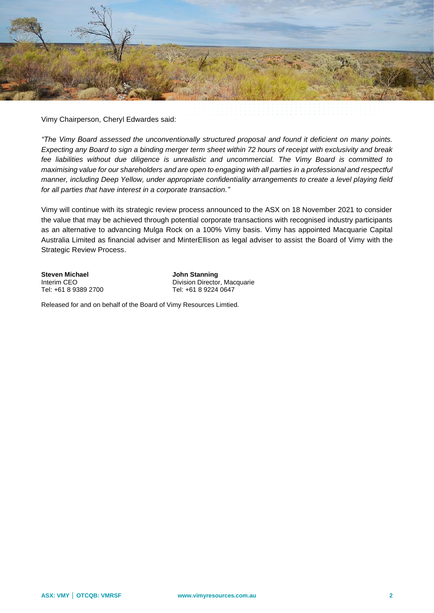

Vimy Chairperson, Cheryl Edwardes said:

*"The Vimy Board assessed the unconventionally structured proposal and found it deficient on many points. Expecting any Board to sign a binding merger term sheet within 72 hours of receipt with exclusivity and break fee liabilities without due diligence is unrealistic and uncommercial. The Vimy Board is committed to maximising value for our shareholders and are open to engaging with all parties in a professional and respectful manner, including Deep Yellow, under appropriate confidentiality arrangements to create a level playing field for all parties that have interest in a corporate transaction."*

Vimy will continue with its strategic review process announced to the ASX on 18 November 2021 to consider the value that may be achieved through potential corporate transactions with recognised industry participants as an alternative to advancing Mulga Rock on a 100% Vimy basis. Vimy has appointed Macquarie Capital Australia Limited as financial adviser and MinterEllison as legal adviser to assist the Board of Vimy with the Strategic Review Process.

**Steven Michael Stanning**<br> **Interim CEO CONSISTENT DESCRIPTION**<br> **Division Director** 

Division Director, Macquarie Tel: +61 8 9389 2700 Tel: +61 8 9224 0647

Released for and on behalf of the Board of Vimy Resources Limtied.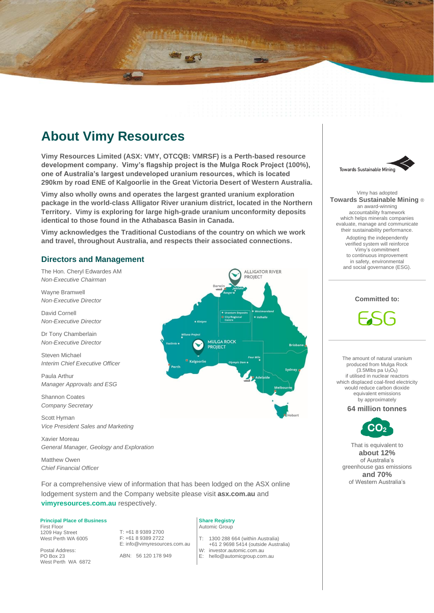

**Vimy Resources Limited (ASX: VMY, OTCQB: VMRSF) is a Perth-based resource development company. Vimy's flagship project is the Mulga Rock Project (100%), one of Australia's largest undeveloped uranium resources, which is located 290km by road ENE of Kalgoorlie in the Great Victoria Desert of Western Australia.**

**Vimy also wholly owns and operates the largest granted uranium exploration package in the world-class Alligator River uranium district, located in the Northern Territory. Vimy is exploring for large high-grade uranium unconformity deposits identical to those found in the Athabasca Basin in Canada.**

**Vimy acknowledges the Traditional Custodians of the country on which we work and travel, throughout Australia, and respects their associated connections.**

#### **Directors and Management**

The Hon. Cheryl Edwardes AM *Non-Executive Chairman*

Wayne Bramwell *Non-Executive Director*

David Cornell *Non-Executive Director*

Dr Tony Chamberlain *Non-Executive Director*

Steven Michael *Interim Chief Executive Officer*

Paula Arthur *Manager Approvals and ESG*

Shannon Coates *Company Secretary*

Scott Hyman *Vice President Sales and Marketing*

Xavier Moreau *General Manager, Geology and Exploration*

Matthew Owen *Chief Financial Officer*

For a comprehensive view of information that has been lodged on the ASX online lodgement system and the Company website please visit **asx.com.au** and **vimyresources.com.au** respectively.

#### **Principal Place of Business**

First Floor 1209 Hay Street West Perth WA 6005

Postal Address: PO Box 23 West Perth WA 6872 T: +61 8 9389 2700 F: +61 8 9389 2722 E: info@vimyresources.com.au

ABN: 56 120 178 949

#### **Share Registry** Automic Group

T: 1300 288 664 (within Australia)

- +61 2 9698 5414 (outside Australia)
- W: investor.automic.com.au<br>E: hello@automicgroup.com
- hello@automicgroup.com.au



Vimy has adopted **Towards Sustainable Mining** ® an award-winning accountability framework which helps minerals companies evaluate, manage and communicate their sustainability performance. Adopting the independently verified system will reinforce Vimy's commitment to continuous improvement in safety, environmental and social governance (ESG).

# **Committed to:**

The amount of natural uranium produced from Mulga Rock  $(3.5Mlbs$  pa  $U_3O_8$ ) if utilised in nuclear reactors which displaced coal-fired electricity would reduce carbon dioxide equivalent emissions by approximately

**64 million tonnes**



That is equivalent to **about 12%** of Australia's greenhouse gas emissions **and 70%** of Western Australia's



**ALLIGATOR RIVER**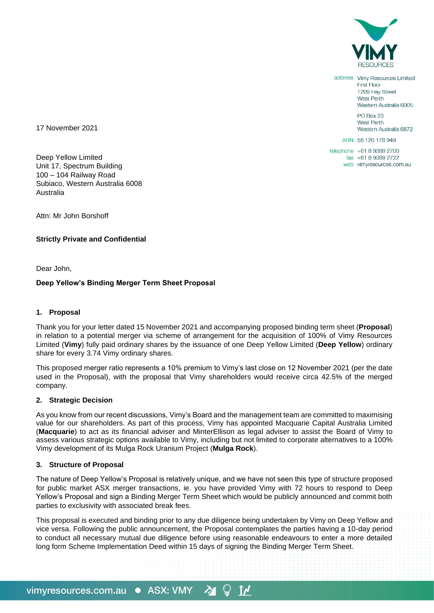

address Vimy Resources Limited **First Floor** 1209 Hay Street West Perth Western Australia 6005 PO Box 23 West Perth Western Australia 6872 ABN 56 120 178 949

telephone +61 8 9389 2700 fax +61 8 9389 2722 web vimyresources.com.au

17 November 2021

Deep Yellow Limited Unit 17, Spectrum Building 100 – 104 Railway Road Subiaco, Western Australia 6008 Australia

Attn: Mr John Borshoff

## **Strictly Private and Confidential**

Dear John,

#### **Deep Yellow's Binding Merger Term Sheet Proposal**

#### **1. Proposal**

Thank you for your letter dated 15 November 2021 and accompanying proposed binding term sheet (**Proposal**) in relation to a potential merger via scheme of arrangement for the acquisition of 100% of Vimy Resources Limited (**Vimy**) fully paid ordinary shares by the issuance of one Deep Yellow Limited (**Deep Yellow**) ordinary share for every 3.74 Vimy ordinary shares.

This proposed merger ratio represents a 10% premium to Vimy's last close on 12 November 2021 (per the date used in the Proposal), with the proposal that Vimy shareholders would receive circa 42.5% of the merged company.

#### **2. Strategic Decision**

As you know from our recent discussions, Vimy's Board and the management team are committed to maximising value for our shareholders. As part of this process, Vimy has appointed Macquarie Capital Australia Limited (**Macquarie**) to act as its financial adviser and MinterEllison as legal adviser to assist the Board of Vimy to assess various strategic options available to Vimy, including but not limited to corporate alternatives to a 100% Vimy development of its Mulga Rock Uranium Project (**Mulga Rock**).

#### **3. Structure of Proposal**

The nature of Deep Yellow's Proposal is relatively unique, and we have not seen this type of structure proposed for public market ASX merger transactions, ie. you have provided Vimy with 72 hours to respond to Deep Yellow's Proposal and sign a Binding Merger Term Sheet which would be publicly announced and commit both parties to exclusivity with associated break fees.

This proposal is executed and binding prior to any due diligence being undertaken by Vimy on Deep Yellow and vice versa. Following the public announcement, the Proposal contemplates the parties having a 10-day period to conduct all necessary mutual due diligence before using reasonable endeavours to enter a more detailed long form Scheme Implementation Deed within 15 days of signing the Binding Merger Term Sheet.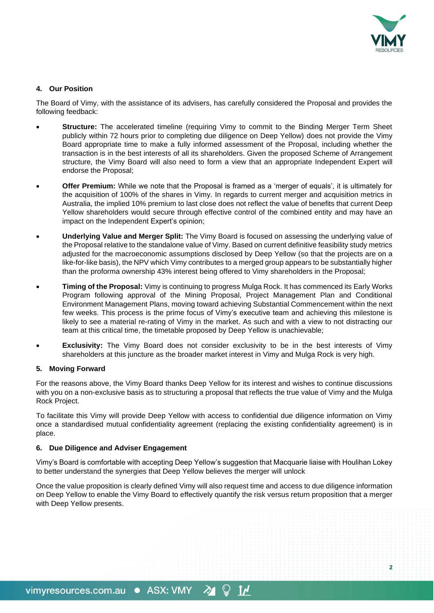

**2**

## **4. Our Position**

The Board of Vimy, with the assistance of its advisers, has carefully considered the Proposal and provides the following feedback:

- **Structure:** The accelerated timeline (requiring Vimy to commit to the Binding Merger Term Sheet publicly within 72 hours prior to completing due diligence on Deep Yellow) does not provide the Vimy Board appropriate time to make a fully informed assessment of the Proposal, including whether the transaction is in the best interests of all its shareholders. Given the proposed Scheme of Arrangement structure, the Vimy Board will also need to form a view that an appropriate Independent Expert will endorse the Proposal;
- **Offer Premium:** While we note that the Proposal is framed as a 'merger of equals', it is ultimately for the acquisition of 100% of the shares in Vimy. In regards to current merger and acquisition metrics in Australia, the implied 10% premium to last close does not reflect the value of benefits that current Deep Yellow shareholders would secure through effective control of the combined entity and may have an impact on the Independent Expert's opinion;
- **Underlying Value and Merger Split:** The Vimy Board is focused on assessing the underlying value of the Proposal relative to the standalone value of Vimy. Based on current definitive feasibility study metrics adjusted for the macroeconomic assumptions disclosed by Deep Yellow (so that the projects are on a like-for-like basis), the NPV which Vimy contributes to a merged group appears to be substantially higher than the proforma ownership 43% interest being offered to Vimy shareholders in the Proposal;
- **Timing of the Proposal:** Vimy is continuing to progress Mulga Rock. It has commenced its Early Works Program following approval of the Mining Proposal, Project Management Plan and Conditional Environment Management Plans, moving toward achieving Substantial Commencement within the next few weeks. This process is the prime focus of Vimy's executive team and achieving this milestone is likely to see a material re-rating of Vimy in the market. As such and with a view to not distracting our team at this critical time, the timetable proposed by Deep Yellow is unachievable;
- **Exclusivity:** The Vimy Board does not consider exclusivity to be in the best interests of Vimy shareholders at this juncture as the broader market interest in Vimy and Mulga Rock is very high.

## **5. Moving Forward**

For the reasons above, the Vimy Board thanks Deep Yellow for its interest and wishes to continue discussions with you on a non-exclusive basis as to structuring a proposal that reflects the true value of Vimy and the Mulga Rock Project.

To facilitate this Vimy will provide Deep Yellow with access to confidential due diligence information on Vimy once a standardised mutual confidentiality agreement (replacing the existing confidentiality agreement) is in place.

#### **6. Due Diligence and Adviser Engagement**

Vimy's Board is comfortable with accepting Deep Yellow's suggestion that Macquarie liaise with Houlihan Lokey to better understand the synergies that Deep Yellow believes the merger will unlock

Once the value proposition is clearly defined Vimy will also request time and access to due diligence information on Deep Yellow to enable the Vimy Board to effectively quantify the risk versus return proposition that a merger with Deep Yellow presents.